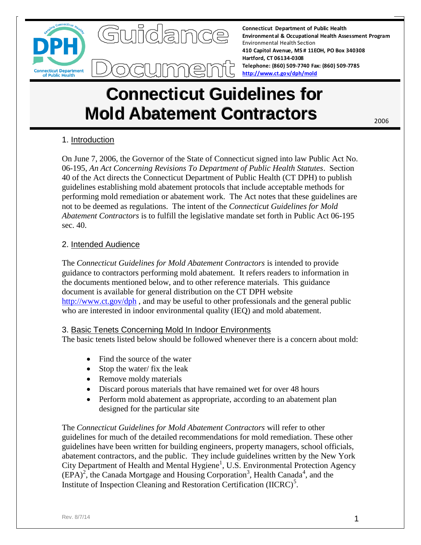

# **Connecticut Guidelines for Mold Abatement Contractors**

# 1. Introduction

On June 7, 2006, the Governor of the State of Connecticut signed into law Public Act No. 06-195, *An Act Concerning Revisions To Department of Public Health Statutes*. Section 40 of the Act directs the Connecticut Department of Public Health (CT DPH) to publish guidelines establishing mold abatement protocols that include acceptable methods for performing mold remediation or abatement work. The Act notes that these guidelines are not to be deemed as regulations. The intent of the *Connecticut Guidelines for Mold Abatement Contractors* is to fulfill the legislative mandate set forth in Public Act 06-195 sec. 40.

# 2. Intended Audience

The *Connecticut Guidelines for Mold Abatement Contractors* is intended to provide guidance to contractors performing mold abatement. It refers readers to information in the documents mentioned below, and to other reference materials. This guidance document is available for general distribution on the CT DPH website <http://www.ct.gov/dph>, and may be useful to other professionals and the general public who are interested in indoor environmental quality (IEQ) and mold abatement.

# 3. Basic Tenets Concerning Mold In Indoor Environments

The basic tenets listed below should be followed whenever there is a concern about mold:

- Find the source of the water
- Stop the water/ fix the leak
- Remove moldy materials
- Discard porous materials that have remained wet for over 48 hours
- Perform mold abatement as appropriate, according to an abatement plan designed for the particular site

The *Connecticut Guidelines for Mold Abatement Contractors* will refer to other guidelines for much of the detailed recommendations for mold remediation. These other guidelines have been written for building engineers, property managers, school officials, abatement contractors, and the public. They include guidelines written by the New York City Department of Health and Mental Hygiene<sup>1</sup>, U.S. Environmental Protection Agency  $(EPA)^2$ , the Canada Mortgage and Housing Corporation<sup>3</sup>, Health Canada<sup>4</sup>, and the Institute of Inspection Cleaning and Restoration Certification (IICRC)<sup>5</sup>.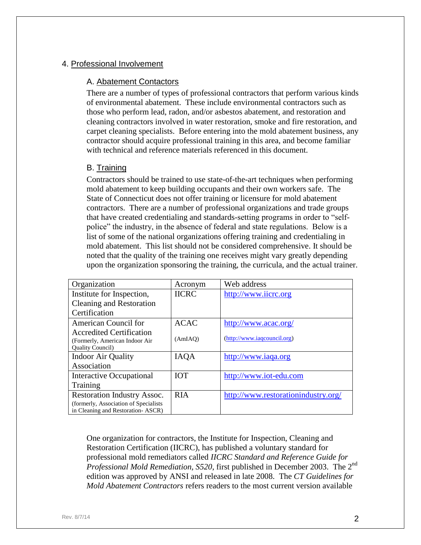## 4. Professional Involvement

#### A. Abatement Contactors

There are a number of types of professional contractors that perform various kinds of environmental abatement. These include environmental contractors such as those who perform lead, radon, and/or asbestos abatement, and restoration and cleaning contractors involved in water restoration, smoke and fire restoration, and carpet cleaning specialists. Before entering into the mold abatement business, any contractor should acquire professional training in this area, and become familiar with technical and reference materials referenced in this document.

#### B. Training

Contractors should be trained to use state-of-the-art techniques when performing mold abatement to keep building occupants and their own workers safe. The State of Connecticut does not offer training or licensure for mold abatement contractors. There are a number of professional organizations and trade groups that have created credentialing and standards-setting programs in order to "selfpolice" the industry, in the absence of federal and state regulations. Below is a list of some of the national organizations offering training and credentialing in mold abatement. This list should not be considered comprehensive. It should be noted that the quality of the training one receives might vary greatly depending upon the organization sponsoring the training, the curricula, and the actual trainer.

| Organization                                                                                               | Acronym      | Web address                         |
|------------------------------------------------------------------------------------------------------------|--------------|-------------------------------------|
| Institute for Inspection,                                                                                  | <b>IICRC</b> | http://www.iicrc.org                |
| <b>Cleaning and Restoration</b>                                                                            |              |                                     |
| Certification                                                                                              |              |                                     |
| American Council for                                                                                       | <b>ACAC</b>  | http://www.acac.org/                |
| <b>Accredited Certification</b><br>(Formerly, American Indoor Air<br>Quality Council)                      | (AmIAO)      | (http://www.iaqcouncil.org)         |
| <b>Indoor Air Quality</b>                                                                                  | <b>IAQA</b>  | http://www.iaqa.org                 |
| Association                                                                                                |              |                                     |
| Interactive Occupational                                                                                   | <b>IOT</b>   | http://www.iot-edu.com              |
| Training                                                                                                   |              |                                     |
| Restoration Industry Assoc.<br>(formerly, Association of Specialists)<br>in Cleaning and Restoration-ASCR) | <b>RIA</b>   | http://www.restorationindustry.org/ |

One organization for contractors, the Institute for Inspection, Cleaning and Restoration Certification (IICRC), has published a voluntary standard for professional mold remediators called *IICRC Standard and Reference Guide for Professional Mold Remediation, S520, first published in December 2003. The 2<sup>nd</sup>* edition was approved by ANSI and released in late 2008. The *CT Guidelines for Mold Abatement Contractors* refers readers to the most current version available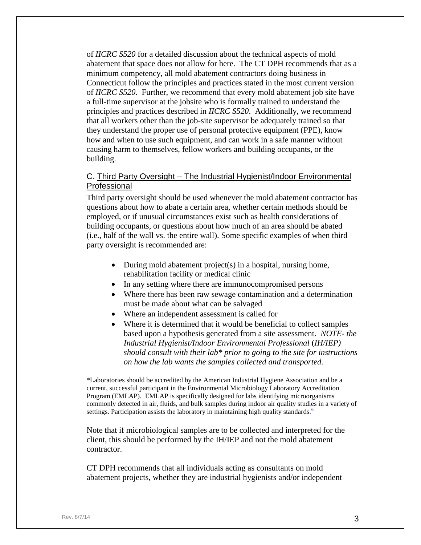of *IICRC S520* for a detailed discussion about the technical aspects of mold abatement that space does not allow for here. The CT DPH recommends that as a minimum competency, all mold abatement contractors doing business in Connecticut follow the principles and practices stated in the most current version of *IICRC S520*. Further, we recommend that every mold abatement job site have a full-time supervisor at the jobsite who is formally trained to understand the principles and practices described in *IICRC S520*. Additionally, we recommend that all workers other than the job-site supervisor be adequately trained so that they understand the proper use of personal protective equipment (PPE), know how and when to use such equipment, and can work in a safe manner without causing harm to themselves, fellow workers and building occupants, or the building.

## C. Third Party Oversight – The Industrial Hygienist/Indoor Environmental Professional

Third party oversight should be used whenever the mold abatement contractor has questions about how to abate a certain area, whether certain methods should be employed, or if unusual circumstances exist such as health considerations of building occupants, or questions about how much of an area should be abated (i.e., half of the wall vs. the entire wall). Some specific examples of when third party oversight is recommended are:

- During mold abatement project(s) in a hospital, nursing home, rehabilitation facility or medical clinic
- In any setting where there are immunocompromised persons
- Where there has been raw sewage contamination and a determination must be made about what can be salvaged
- Where an independent assessment is called for
- Where it is determined that it would be beneficial to collect samples based upon a hypothesis generated from a site assessment. *NOTE- the Industrial Hygienist/Indoor Environmental Professional* (*IH/IEP) should consult with their lab\* prior to going to the site for instructions on how the lab wants the samples collected and transported.*

\*Laboratories should be accredited by the American Industrial Hygiene Association and be a current, successful participant in the Environmental Microbiology Laboratory Accreditation Program (EMLAP). EMLAP is specifically designed for labs identifying microorganisms commonly detected in air, fluids, and bulk samples during indoor air quality studies in a variety of settings. Participation assists the laboratory in maintaining high quality standards. $\frac{6}{1}$ 

Note that if microbiological samples are to be collected and interpreted for the client, this should be performed by the IH/IEP and not the mold abatement contractor.

CT DPH recommends that all individuals acting as consultants on mold abatement projects, whether they are industrial hygienists and/or independent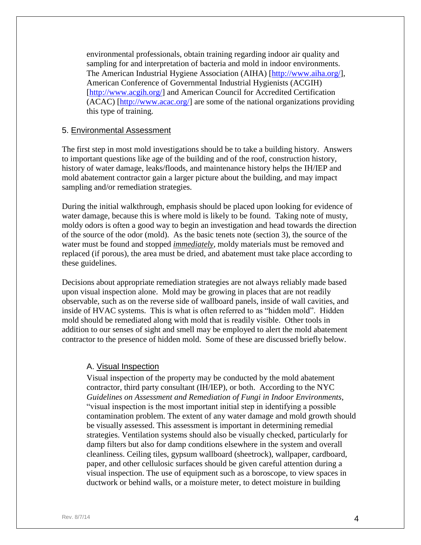environmental professionals, obtain training regarding indoor air quality and sampling for and interpretation of bacteria and mold in indoor environments. The American Industrial Hygiene Association (AIHA) [\[http://www.aiha.org/\]](http://www.aiha.org/), American Conference of Governmental Industrial Hygienists (ACGIH) [\[http://www.acgih.org/\]](http://www.acgih.org/) and American Council for Accredited Certification (ACAC) [\[http://www.acac.org/\]](http://www.acac.org/) are some of the national organizations providing this type of training.

#### 5. Environmental Assessment

The first step in most mold investigations should be to take a building history. Answers to important questions like age of the building and of the roof, construction history, history of water damage, leaks/floods, and maintenance history helps the IH/IEP and mold abatement contractor gain a larger picture about the building, and may impact sampling and/or remediation strategies.

During the initial walkthrough, emphasis should be placed upon looking for evidence of water damage, because this is where mold is likely to be found. Taking note of musty, moldy odors is often a good way to begin an investigation and head towards the direction of the source of the odor (mold). As the basic tenets note (section 3), the source of the water must be found and stopped *immediately*, moldy materials must be removed and replaced (if porous), the area must be dried, and abatement must take place according to these guidelines.

Decisions about appropriate remediation strategies are not always reliably made based upon visual inspection alone. Mold may be growing in places that are not readily observable, such as on the reverse side of wallboard panels, inside of wall cavities, and inside of HVAC systems. This is what is often referred to as "hidden mold". Hidden mold should be remediated along with mold that is readily visible. Other tools in addition to our senses of sight and smell may be employed to alert the mold abatement contractor to the presence of hidden mold. Some of these are discussed briefly below.

#### A. Visual Inspection

Visual inspection of the property may be conducted by the mold abatement contractor, third party consultant (IH/IEP), or both. According to the NYC *Guidelines on Assessment and Remediation of Fungi in Indoor Environments*, "visual inspection is the most important initial step in identifying a possible contamination problem. The extent of any water damage and mold growth should be visually assessed. This assessment is important in determining remedial strategies. Ventilation systems should also be visually checked, particularly for damp filters but also for damp conditions elsewhere in the system and overall cleanliness. Ceiling tiles, gypsum wallboard (sheetrock), wallpaper, cardboard, paper, and other cellulosic surfaces should be given careful attention during a visual inspection. The use of equipment such as a boroscope, to view spaces in ductwork or behind walls, or a moisture meter, to detect moisture in building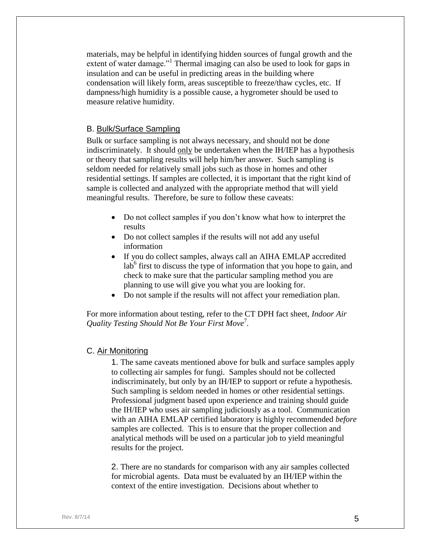materials, may be helpful in identifying hidden sources of fungal growth and the extent of water damage."<sup>1</sup> Thermal imaging can also be used to look for gaps in insulation and can be useful in predicting areas in the building where condensation will likely form, areas susceptible to freeze/thaw cycles, etc. If dampness/high humidity is a possible cause, a hygrometer should be used to measure relative humidity.

#### B. Bulk/Surface Sampling

Bulk or surface sampling is not always necessary, and should not be done indiscriminately. It should only be undertaken when the IH/IEP has a hypothesis or theory that sampling results will help him/her answer. Such sampling is seldom needed for relatively small jobs such as those in homes and other residential settings. If samples are collected, it is important that the right kind of sample is collected and analyzed with the appropriate method that will yield meaningful results. Therefore, be sure to follow these caveats:

- Do not collect samples if you don't know what how to interpret the results
- Do not collect samples if the results will not add any useful information
- If you do collect samples, always call an AIHA EMLAP accredited  $lab<sup>6</sup>$  first to discuss the type of information that you hope to gain, and check to make sure that the particular sampling method you are planning to use will give you what you are looking for.
- Do not sample if the results will not affect your remediation plan.

For more information about testing, refer to the CT DPH fact sheet, *Indoor Air Quality Testing Should Not Be Your First Move*<sup>7</sup> *.*

#### C. Air Monitoring

1. The same caveats mentioned above for bulk and surface samples apply to collecting air samples for fungi. Samples should not be collected indiscriminately, but only by an IH/IEP to support or refute a hypothesis. Such sampling is seldom needed in homes or other residential settings. Professional judgment based upon experience and training should guide the IH/IEP who uses air sampling judiciously as a tool. Communication with an AIHA EMLAP certified laboratory is highly recommended *before* samples are collected. This is to ensure that the proper collection and analytical methods will be used on a particular job to yield meaningful results for the project.

2. There are no standards for comparison with any air samples collected for microbial agents. Data must be evaluated by an IH/IEP within the context of the entire investigation. Decisions about whether to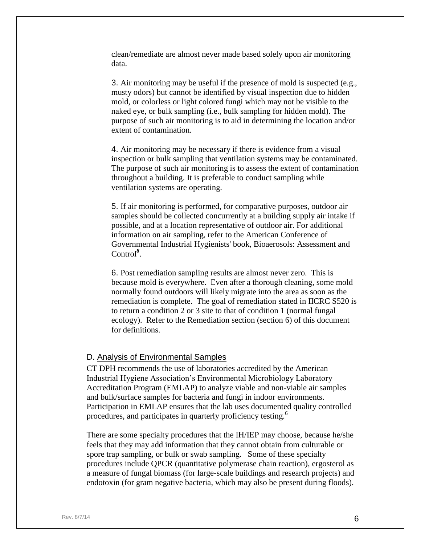clean/remediate are almost never made based solely upon air monitoring data.

3. Air monitoring may be useful if the presence of mold is suspected (e.g., musty odors) but cannot be identified by visual inspection due to hidden mold, or colorless or light colored fungi which may not be visible to the naked eye, or bulk sampling (i.e., bulk sampling for hidden mold). The purpose of such air monitoring is to aid in determining the location and/or extent of contamination.

4. Air monitoring may be necessary if there is evidence from a visual inspection or bulk sampling that ventilation systems may be contaminated. The purpose of such air monitoring is to assess the extent of contamination throughout a building. It is preferable to conduct sampling while ventilation systems are operating.

5. If air monitoring is performed, for comparative purposes, outdoor air samples should be collected concurrently at a building supply air intake if possible, and at a location representative of outdoor air. For additional information on air sampling, refer to the American Conference of Governmental Industrial Hygienists' book, Bioaerosols: Assessment and Control<sup>8</sup>.

6. Post remediation sampling results are almost never zero. This is because mold is everywhere. Even after a thorough cleaning, some mold normally found outdoors will likely migrate into the area as soon as the remediation is complete. The goal of remediation stated in IICRC S520 is to return a condition 2 or 3 site to that of condition 1 (normal fungal ecology). Refer to the Remediation section (section 6) of this document for definitions.

#### D. Analysis of Environmental Samples

CT DPH recommends the use of laboratories accredited by the American Industrial Hygiene Association's Environmental Microbiology Laboratory Accreditation Program (EMLAP) to analyze viable and non-viable air samples and bulk/surface samples for bacteria and fungi in indoor environments. Participation in EMLAP ensures that the lab uses documented quality controlled procedures, and participates in quarterly proficiency testing.<sup>6</sup>

There are some specialty procedures that the IH/IEP may choose, because he/she feels that they may add information that they cannot obtain from culturable or spore trap sampling, or bulk or swab sampling. Some of these specialty procedures include QPCR (quantitative polymerase chain reaction), ergosterol as a measure of fungal biomass (for large-scale buildings and research projects) and endotoxin (for gram negative bacteria, which may also be present during floods).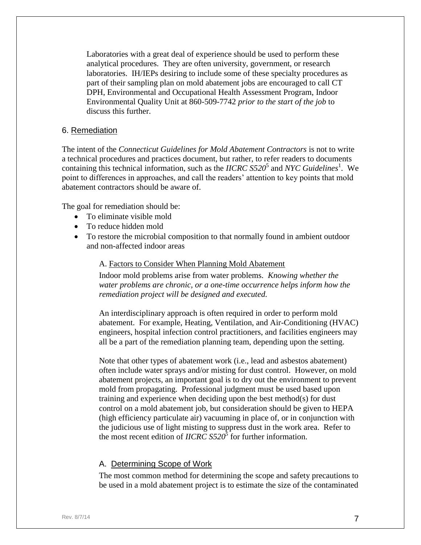Laboratories with a great deal of experience should be used to perform these analytical procedures. They are often university, government, or research laboratories. IH/IEPs desiring to include some of these specialty procedures as part of their sampling plan on mold abatement jobs are encouraged to call CT DPH, Environmental and Occupational Health Assessment Program, Indoor Environmental Quality Unit at 860-509-7742 *prior to the start of the job* to discuss this further.

#### 6. Remediation

The intent of the *Connecticut Guidelines for Mold Abatement Contractors* is not to write a technical procedures and practices document, but rather, to refer readers to documents containing this technical information, such as the *IICRC S520*<sup>5</sup> and *NYC Guidelines*<sup>1</sup>. We point to differences in approaches, and call the readers' attention to key points that mold abatement contractors should be aware of.

The goal for remediation should be:

- To eliminate visible mold
- To reduce hidden mold
- To restore the microbial composition to that normally found in ambient outdoor and non-affected indoor areas

A. Factors to Consider When Planning Mold Abatement

Indoor mold problems arise from water problems. *Knowing whether the water problems are chronic, or a one-time occurrence helps inform how the remediation project will be designed and executed.* 

An interdisciplinary approach is often required in order to perform mold abatement. For example, Heating, Ventilation, and Air-Conditioning (HVAC) engineers, hospital infection control practitioners, and facilities engineers may all be a part of the remediation planning team, depending upon the setting.

Note that other types of abatement work (i.e., lead and asbestos abatement) often include water sprays and/or misting for dust control. However, on mold abatement projects, an important goal is to dry out the environment to prevent mold from propagating. Professional judgment must be used based upon training and experience when deciding upon the best method(s) for dust control on a mold abatement job, but consideration should be given to HEPA (high efficiency particulate air) vacuuming in place of, or in conjunction with the judicious use of light misting to suppress dust in the work area. Refer to the most recent edition of *IICRC S520*<sup> $3$ </sup> for further information.

#### A. Determining Scope of Work

The most common method for determining the scope and safety precautions to be used in a mold abatement project is to estimate the size of the contaminated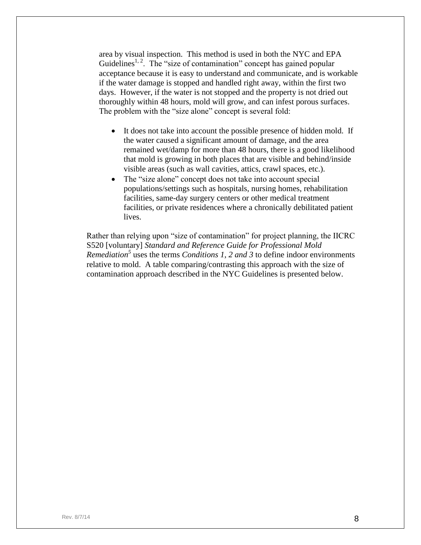area by visual inspection. This method is used in both the NYC and EPA Guidelines<sup>1, 2</sup>. The "size of contamination" concept has gained popular acceptance because it is easy to understand and communicate, and is workable if the water damage is stopped and handled right away, within the first two days. However, if the water is not stopped and the property is not dried out thoroughly within 48 hours, mold will grow, and can infest porous surfaces. The problem with the "size alone" concept is several fold:

- It does not take into account the possible presence of hidden mold. If the water caused a significant amount of damage, and the area remained wet/damp for more than 48 hours, there is a good likelihood that mold is growing in both places that are visible and behind/inside visible areas (such as wall cavities, attics, crawl spaces, etc.).
- The "size alone" concept does not take into account special populations/settings such as hospitals, nursing homes, rehabilitation facilities, same-day surgery centers or other medical treatment facilities, or private residences where a chronically debilitated patient lives.

Rather than relying upon "size of contamination" for project planning, the IICRC S520 [voluntary] *Standard and Reference Guide for Professional Mold Remediation<sup>5</sup>* uses the terms *Conditions 1, 2 and 3* to define indoor environments relative to mold. A table comparing/contrasting this approach with the size of contamination approach described in the NYC Guidelines is presented below.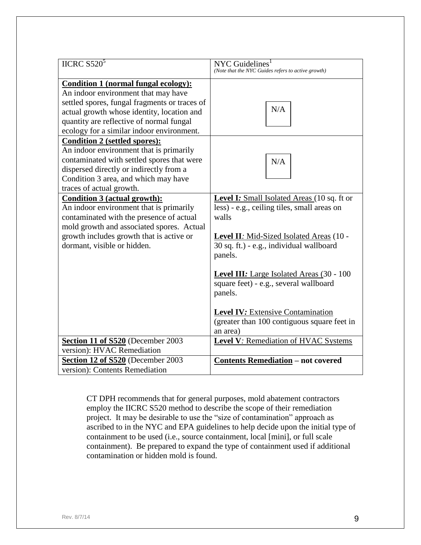| IICRC $S520^5$                                                                                                                                                                                                                                                             | <b>NYC</b> Guidelines<br>(Note that the NYC Guides refers to active growth)                         |
|----------------------------------------------------------------------------------------------------------------------------------------------------------------------------------------------------------------------------------------------------------------------------|-----------------------------------------------------------------------------------------------------|
| <b>Condition 1 (normal fungal ecology):</b><br>An indoor environment that may have<br>settled spores, fungal fragments or traces of<br>actual growth whose identity, location and<br>quantity are reflective of normal fungal<br>ecology for a similar indoor environment. | N/A                                                                                                 |
| <b>Condition 2 (settled spores):</b><br>An indoor environment that is primarily<br>contaminated with settled spores that were<br>dispersed directly or indirectly from a<br>Condition 3 area, and which may have<br>traces of actual growth.                               | N/A                                                                                                 |
| <b>Condition 3 (actual growth):</b><br>An indoor environment that is primarily<br>contaminated with the presence of actual<br>mold growth and associated spores. Actual                                                                                                    | Level I: Small Isolated Areas (10 sq. ft or<br>less) - e.g., ceiling tiles, small areas on<br>walls |
| growth includes growth that is active or<br>dormant, visible or hidden.                                                                                                                                                                                                    | Level II: Mid-Sized Isolated Areas (10 -<br>30 sq. ft.) - e.g., individual wallboard<br>panels.     |
|                                                                                                                                                                                                                                                                            | Level III: Large Isolated Areas (30 - 100<br>square feet) - e.g., several wallboard<br>panels.      |
|                                                                                                                                                                                                                                                                            | Level IV: Extensive Contamination<br>(greater than 100 contiguous square feet in<br>an area)        |
| Section 11 of S520 (December 2003<br>version): HVAC Remediation                                                                                                                                                                                                            | <b>Level V: Remediation of HVAC Systems</b>                                                         |
| Section 12 of S520 (December 2003<br>version): Contents Remediation                                                                                                                                                                                                        | <b>Contents Remediation - not covered</b>                                                           |

CT DPH recommends that for general purposes, mold abatement contractors employ the IICRC S520 method to describe the scope of their remediation project. It may be desirable to use the "size of contamination" approach as ascribed to in the NYC and EPA guidelines to help decide upon the initial type of containment to be used (i.e., source containment, local [mini], or full scale containment). Be prepared to expand the type of containment used if additional contamination or hidden mold is found.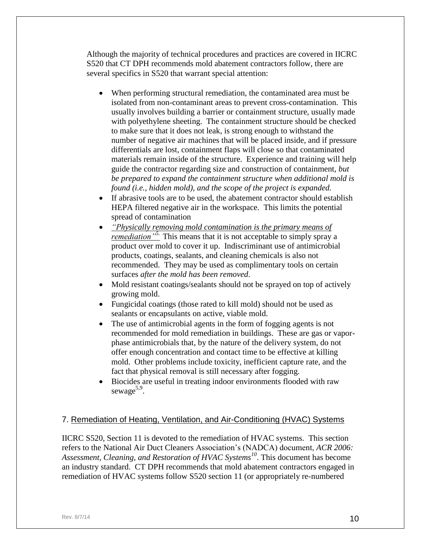Although the majority of technical procedures and practices are covered in IICRC S520 that CT DPH recommends mold abatement contractors follow, there are several specifics in S520 that warrant special attention:

- When performing structural remediation, the contaminated area must be isolated from non-contaminant areas to prevent cross-contamination. This usually involves building a barrier or containment structure, usually made with polyethylene sheeting. The containment structure should be checked to make sure that it does not leak, is strong enough to withstand the number of negative air machines that will be placed inside, and if pressure differentials are lost, containment flaps will close so that contaminated materials remain inside of the structure. Experience and training will help guide the contractor regarding size and construction of containment, *but be prepared to expand the containment structure when additional mold is found (i.e., hidden mold), and the scope of the project is expanded.*
- If abrasive tools are to be used, the abatement contractor should establish HEPA filtered negative air in the workspace. This limits the potential spread of contamination
- *"Physically removing mold contamination is the primary means of remediation"5.* This means that it is not acceptable to simply spray a product over mold to cover it up. Indiscriminant use of antimicrobial products, coatings, sealants, and cleaning chemicals is also not recommended. They may be used as complimentary tools on certain surfaces *after the mold has been removed*.
- Mold resistant coatings/sealants should not be sprayed on top of actively growing mold.
- Fungicidal coatings (those rated to kill mold) should not be used as sealants or encapsulants on active, viable mold.
- The use of antimicrobial agents in the form of fogging agents is not recommended for mold remediation in buildings. These are gas or vaporphase antimicrobials that, by the nature of the delivery system, do not offer enough concentration and contact time to be effective at killing mold. Other problems include toxicity, inefficient capture rate, and the fact that physical removal is still necessary after fogging.
- Biocides are useful in treating indoor environments flooded with raw sewage<sup>5,9</sup>.

## 7. Remediation of Heating, Ventilation, and Air-Conditioning (HVAC) Systems

IICRC S520, Section 11 is devoted to the remediation of HVAC systems. This section refers to the National Air Duct Cleaners Association's (NADCA) document, *ACR 2006: Assessment, Cleaning, and Restoration of HVAC Systems<sup>10</sup>*. This document has become an industry standard. CT DPH recommends that mold abatement contractors engaged in remediation of HVAC systems follow S520 section 11 (or appropriately re-numbered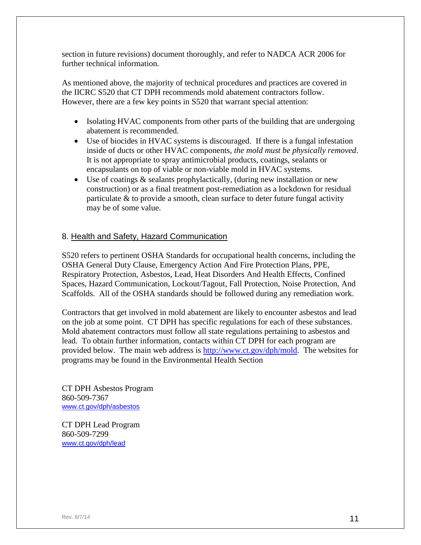section in future revisions) document thoroughly, and refer to NADCA ACR 2006 for further technical information.

As mentioned above, the majority of technical procedures and practices are covered in the IICRC S520 that CT DPH recommends mold abatement contractors follow. However, there are a few key points in S520 that warrant special attention:

- Isolating HVAC components from other parts of the building that are undergoing abatement is recommended.
- Use of biocides in HVAC systems is discouraged. If there is a fungal infestation inside of ducts or other HVAC components, *the mold must be physically removed*. It is not appropriate to spray antimicrobial products, coatings, sealants or encapsulants on top of viable or non-viable mold in HVAC systems.
- Use of coatings & sealants prophylactically, (during new installation or new construction) or as a final treatment post-remediation as a lockdown for residual particulate & to provide a smooth, clean surface to deter future fungal activity may be of some value.

# 8. Health and Safety, Hazard Communication

S520 refers to pertinent OSHA Standards for occupational health concerns, including the OSHA General Duty Clause, Emergency Action And Fire Protection Plans, PPE, Respiratory Protection, Asbestos, Lead, Heat Disorders And Health Effects, Confined Spaces, Hazard Communication, Lockout/Tagout, Fall Protection, Noise Protection, And Scaffolds. All of the OSHA standards should be followed during any remediation work.

Contractors that get involved in mold abatement are likely to encounter asbestos and lead on the job at some point. CT DPH has specific regulations for each of these substances. Mold abatement contractors must follow all state regulations pertaining to asbestos and lead. To obtain further information, contacts within CT DPH for each program are provided below. The main web address is [http://www.ct.gov/dph/mold.](http://www.ct.gov/dph/mold) The websites for programs may be found in the Environmental Health Section

CT DPH Asbestos Program 860-509-7367 [www.ct.gov/dph/asbestos](http://www.ct.gov/dph)

CT DPH Lead Program 860-509-7299 [www.ct.gov/dph/lead](http://www.ct.gov/dph/lead)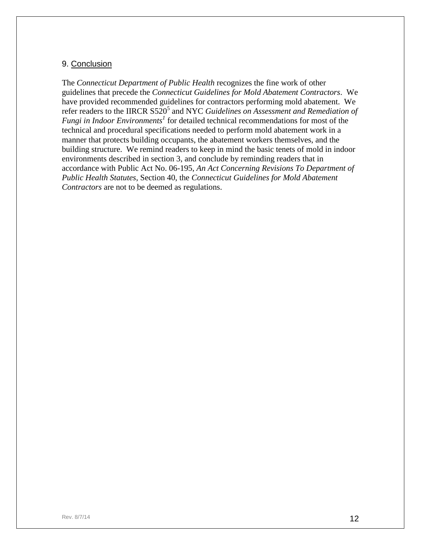## 9. Conclusion

The *Connecticut Department of Public Health* recognizes the fine work of other guidelines that precede the *Connecticut Guidelines for Mold Abatement Contractors*. We have provided recommended guidelines for contractors performing mold abatement. We refer readers to the IIRCR S520<sup>5</sup> and NYC *Guidelines on Assessment and Remediation of* Fungi in Indoor Environments<sup>1</sup> for detailed technical recommendations for most of the technical and procedural specifications needed to perform mold abatement work in a manner that protects building occupants, the abatement workers themselves, and the building structure. We remind readers to keep in mind the basic tenets of mold in indoor environments described in section 3, and conclude by reminding readers that in accordance with Public Act No. 06-195, *An Act Concerning Revisions To Department of Public Health Statutes*, Section 40, the *Connecticut Guidelines for Mold Abatement Contractors* are not to be deemed as regulations.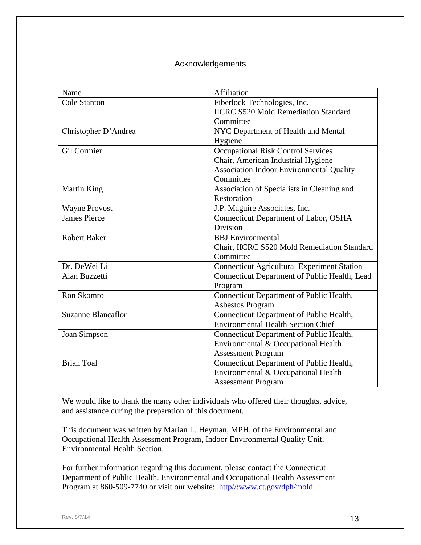## **Acknowledgements**

| Name                      | <b>Affiliation</b>                                 |  |
|---------------------------|----------------------------------------------------|--|
| Cole Stanton              | Fiberlock Technologies, Inc.                       |  |
|                           | <b>IICRC S520 Mold Remediation Standard</b>        |  |
|                           | Committee                                          |  |
| Christopher D'Andrea      | NYC Department of Health and Mental                |  |
|                           | Hygiene                                            |  |
| <b>Gil Cormier</b>        | <b>Occupational Risk Control Services</b>          |  |
|                           | Chair, American Industrial Hygiene                 |  |
|                           | Association Indoor Environmental Quality           |  |
|                           | Committee                                          |  |
| <b>Martin King</b>        | Association of Specialists in Cleaning and         |  |
|                           | Restoration                                        |  |
| <b>Wayne Provost</b>      | J.P. Maguire Associates, Inc.                      |  |
| <b>James Pierce</b>       | Connecticut Department of Labor, OSHA              |  |
|                           | Division                                           |  |
| <b>Robert Baker</b>       | <b>BBJ</b> Environmental                           |  |
|                           | Chair, IICRC S520 Mold Remediation Standard        |  |
|                           | Committee                                          |  |
| Dr. DeWei Li              | <b>Connecticut Agricultural Experiment Station</b> |  |
| Alan Buzzetti             | Connecticut Department of Public Health, Lead      |  |
|                           | Program                                            |  |
| Ron Skomro                | Connecticut Department of Public Health,           |  |
|                           | Asbestos Program                                   |  |
| <b>Suzanne Blancaflor</b> | Connecticut Department of Public Health,           |  |
|                           | <b>Environmental Health Section Chief</b>          |  |
| Joan Simpson              | Connecticut Department of Public Health,           |  |
|                           | Environmental & Occupational Health                |  |
|                           | <b>Assessment Program</b>                          |  |
| <b>Brian Toal</b>         | Connecticut Department of Public Health,           |  |
|                           | Environmental & Occupational Health                |  |
|                           | <b>Assessment Program</b>                          |  |

We would like to thank the many other individuals who offered their thoughts, advice, and assistance during the preparation of this document.

This document was written by Marian L. Heyman, MPH, of the Environmental and Occupational Health Assessment Program, Indoor Environmental Quality Unit, Environmental Health Section.

For further information regarding this document, please contact the Connecticut Department of Public Health, Environmental and Occupational Health Assessment Program at 860-509-7740 or visit our website: [http//:www.ct.gov/dph/mold.](http://www.ct.gov/dph/mold)